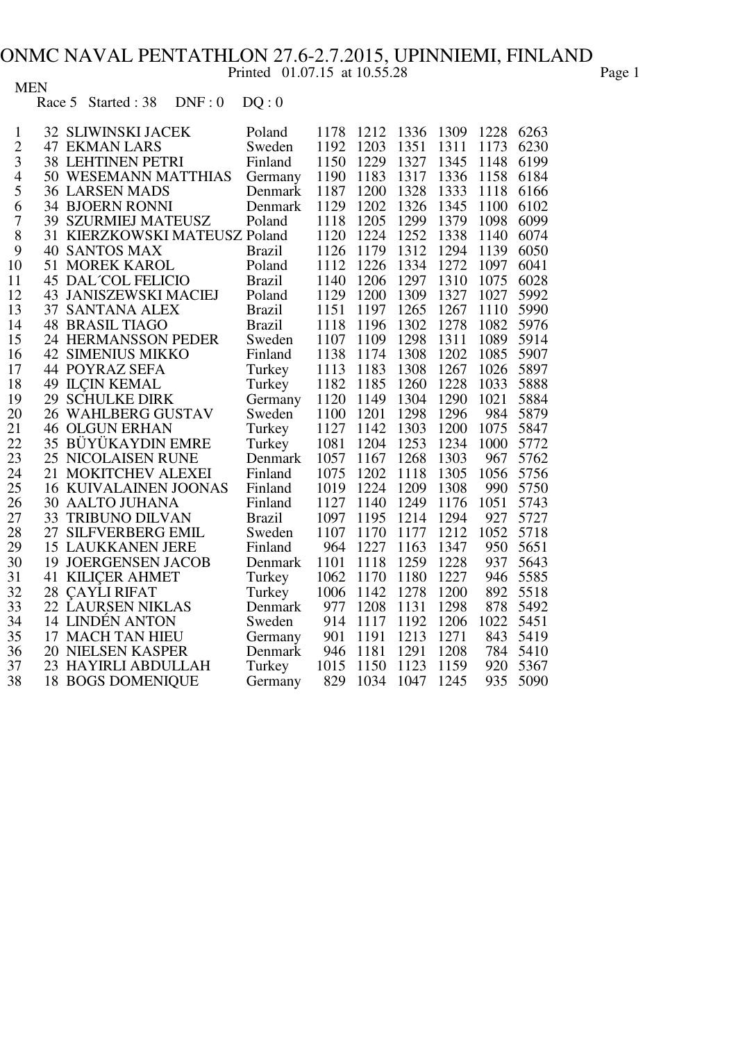## ONMC NAVAL PENTATHLON 27.6-2.7.2015, UPINNIEMI, FINLAND

Printed 01.07.15 at 10.55.28 Page 1

## MEN

Race 5 Started :  $38$  DNF :  $0$  DQ :  $0$ 

| 1              | <b>32 SLIWINSKI JACEK</b>     | Poland        | 1178 | 1212 | 1336 | 1309 | 1228 | 6263 |
|----------------|-------------------------------|---------------|------|------|------|------|------|------|
| $\overline{c}$ | <b>47 EKMAN LARS</b>          | Sweden        | 1192 | 1203 | 1351 | 1311 | 1173 | 6230 |
| 3              | <b>38 LEHTINEN PETRI</b>      | Finland       | 1150 | 1229 | 1327 | 1345 | 1148 | 6199 |
| $\overline{4}$ | 50 WESEMANN MATTHIAS          | Germany       | 1190 | 1183 | 1317 | 1336 | 1158 | 6184 |
| 5              | <b>36 LARSEN MADS</b>         | Denmark       | 1187 | 1200 | 1328 | 1333 | 1118 | 6166 |
| 6              | <b>34 BJOERN RONNI</b>        | Denmark       | 1129 | 1202 | 1326 | 1345 | 1100 | 6102 |
| $\overline{7}$ | <b>39 SZURMIEJ MATEUSZ</b>    | Poland        | 1118 | 1205 | 1299 | 1379 | 1098 | 6099 |
| 8              | 31 KIERZKOWSKI MATEUSZ Poland |               | 1120 | 1224 | 1252 | 1338 | 1140 | 6074 |
| 9              | <b>40 SANTOS MAX</b>          | <b>Brazil</b> | 1126 | 1179 | 1312 | 1294 | 1139 | 6050 |
| 10             | <b>51 MOREK KAROL</b>         | Poland        | 1112 | 1226 | 1334 | 1272 | 1097 | 6041 |
| 11             | <b>45 DAL COL FELICIO</b>     | <b>Brazil</b> | 1140 | 1206 | 1297 | 1310 | 1075 | 6028 |
| 12             | <b>43 JANISZEWSKI MACIEJ</b>  | Poland        | 1129 | 1200 | 1309 | 1327 | 1027 | 5992 |
| 13             | 37 SANTANA ALEX               | <b>Brazil</b> | 1151 | 1197 | 1265 | 1267 | 1110 | 5990 |
| 14             | <b>48 BRASIL TIAGO</b>        | <b>Brazil</b> | 1118 | 1196 | 1302 | 1278 | 1082 | 5976 |
| 15             | 24 HERMANSSON PEDER           | Sweden        | 1107 | 1109 | 1298 | 1311 | 1089 | 5914 |
| 16             | <b>42 SIMENIUS MIKKO</b>      | Finland       | 1138 | 1174 | 1308 | 1202 | 1085 | 5907 |
| 17             | <b>44 POYRAZ SEFA</b>         | Turkey        | 1113 | 1183 | 1308 | 1267 | 1026 | 5897 |
| 18             | <b>49 ILCIN KEMAL</b>         | Turkey        | 1182 | 1185 | 1260 | 1228 | 1033 | 5888 |
| 19             | <b>29 SCHULKE DIRK</b>        | Germany       | 1120 | 1149 | 1304 | 1290 | 1021 | 5884 |
| 20             | <b>26 WAHLBERG GUSTAV</b>     | Sweden        | 1100 | 1201 | 1298 | 1296 | 984  | 5879 |
| 21             | <b>46 OLGUN ERHAN</b>         | Turkey        | 1127 | 1142 | 1303 | 1200 | 1075 | 5847 |
| 22             | <b>35 BÜYÜKAYDIN EMRE</b>     | Turkey        | 1081 | 1204 | 1253 | 1234 | 1000 | 5772 |
| 23             | <b>25 NICOLAISEN RUNE</b>     | Denmark       | 1057 | 1167 | 1268 | 1303 | 967  | 5762 |
| 24             | 21 MOKITCHEV ALEXEI           | Finland       | 1075 | 1202 | 1118 | 1305 | 1056 | 5756 |
| 25             | <b>16 KUIVALAINEN JOONAS</b>  | Finland       | 1019 | 1224 | 1209 | 1308 | 990  | 5750 |
| 26             | <b>30 AALTO JUHANA</b>        | Finland       | 1127 | 1140 | 1249 | 1176 | 1051 | 5743 |
| 27             | 33 TRIBUNO DILVAN             | <b>Brazil</b> | 1097 | 1195 | 1214 | 1294 | 927  | 5727 |
| 28             | 27 SILFVERBERG EMIL           | Sweden        | 1107 | 1170 | 1177 | 1212 | 1052 | 5718 |
| 29             | <b>15 LAUKKANEN JERE</b>      | Finland       | 964  | 1227 | 1163 | 1347 | 950  | 5651 |
| 30             | <b>19 JOERGENSEN JACOB</b>    | Denmark       | 1101 | 1118 | 1259 | 1228 | 937  | 5643 |
| 31             | <b>41 KILICER AHMET</b>       | Turkey        | 1062 | 1170 | 1180 | 1227 | 946  | 5585 |
| 32             | 28 CAYLI RIFAT                | Turkey        | 1006 | 1142 | 1278 | 1200 | 892  | 5518 |
| 33             | 22 LAURSEN NIKLAS             | Denmark       | 977  | 1208 | 1131 | 1298 | 878  | 5492 |
| 34             | 14 LINDÉN ANTON               | Sweden        | 914  | 1117 | 1192 | 1206 | 1022 | 5451 |
| 35             | 17 MACH TAN HIEU              | Germany       | 901  | 1191 | 1213 | 1271 | 843  | 5419 |
| 36             | <b>20 NIELSEN KASPER</b>      | Denmark       | 946  | 1181 | 1291 | 1208 | 784  | 5410 |
| 37             | 23 HAYIRLI ABDULLAH           | Turkey        | 1015 | 1150 | 1123 | 1159 | 920  | 5367 |
| 38             | <b>18 BOGS DOMENIQUE</b>      | Germany       | 829  | 1034 | 1047 | 1245 | 935  | 5090 |